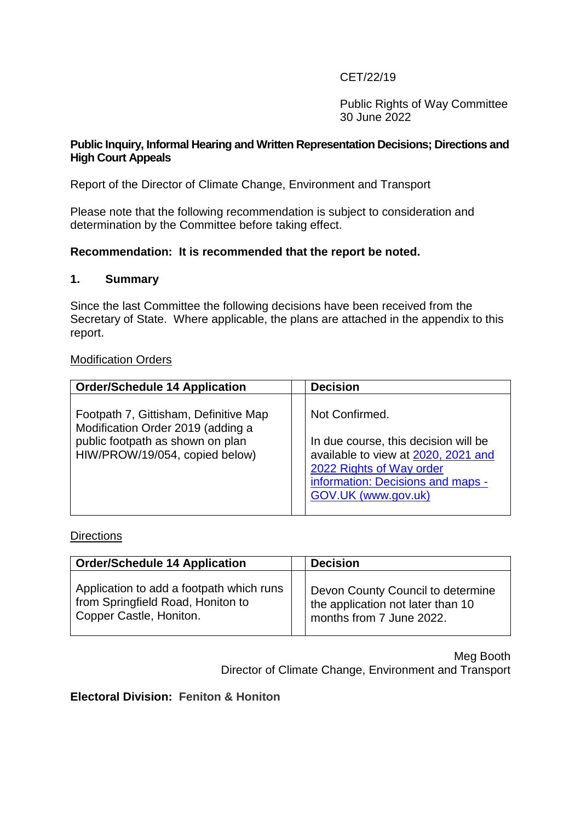# CET/22/19

Public Rights of Way Committee 30 June 2022

### **Public Inquiry, Informal Hearing and Written Representation Decisions; Directions and High Court Appeals**

Report of the Director of Climate Change, Environment and Transport

Please note that the following recommendation is subject to consideration and determination by the Committee before taking effect.

# **Recommendation: It is recommended that the report be noted.**

#### **1. Summary**

Since the last Committee the following decisions have been received from the Secretary of State. Where applicable, the plans are attached in the appendix to this report.

#### Modification Orders

| <b>Order/Schedule 14 Application</b>                                                                                                             | <b>Decision</b>                                                                                                                                                                       |
|--------------------------------------------------------------------------------------------------------------------------------------------------|---------------------------------------------------------------------------------------------------------------------------------------------------------------------------------------|
| Footpath 7, Gittisham, Definitive Map<br>Modification Order 2019 (adding a<br>public footpath as shown on plan<br>HIW/PROW/19/054, copied below) | Not Confirmed.<br>In due course, this decision will be<br>available to view at 2020, 2021 and<br>2022 Rights of Way order<br>information: Decisions and maps -<br>GOV.UK (www.gov.uk) |

### **Directions**

| <b>Order/Schedule 14 Application</b>                                                                     | <b>Decision</b>                                                                                    |
|----------------------------------------------------------------------------------------------------------|----------------------------------------------------------------------------------------------------|
| Application to add a footpath which runs<br>from Springfield Road, Honiton to<br>Copper Castle, Honiton. | Devon County Council to determine<br>the application not later than 10<br>months from 7 June 2022. |

Meg Booth Director of Climate Change, Environment and Transport

## **Electoral Division: Feniton & Honiton**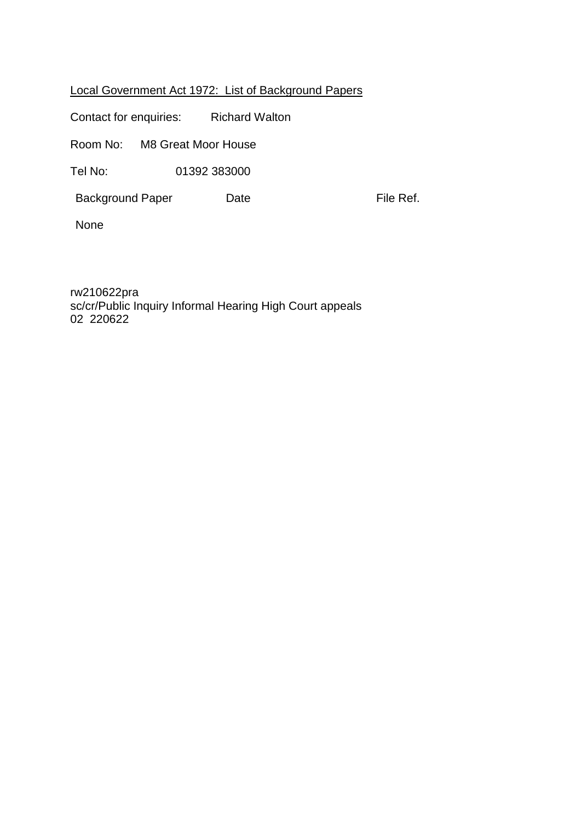# Local Government Act 1972: List of Background Papers

File Ref.

Contact for enquiries: Richard Walton

Room No: M8 Great Moor House

Tel No: 01392 383000

Background Paper

None

rw210622pra sc/cr/Public Inquiry Informal Hearing High Court appeals 02 220622